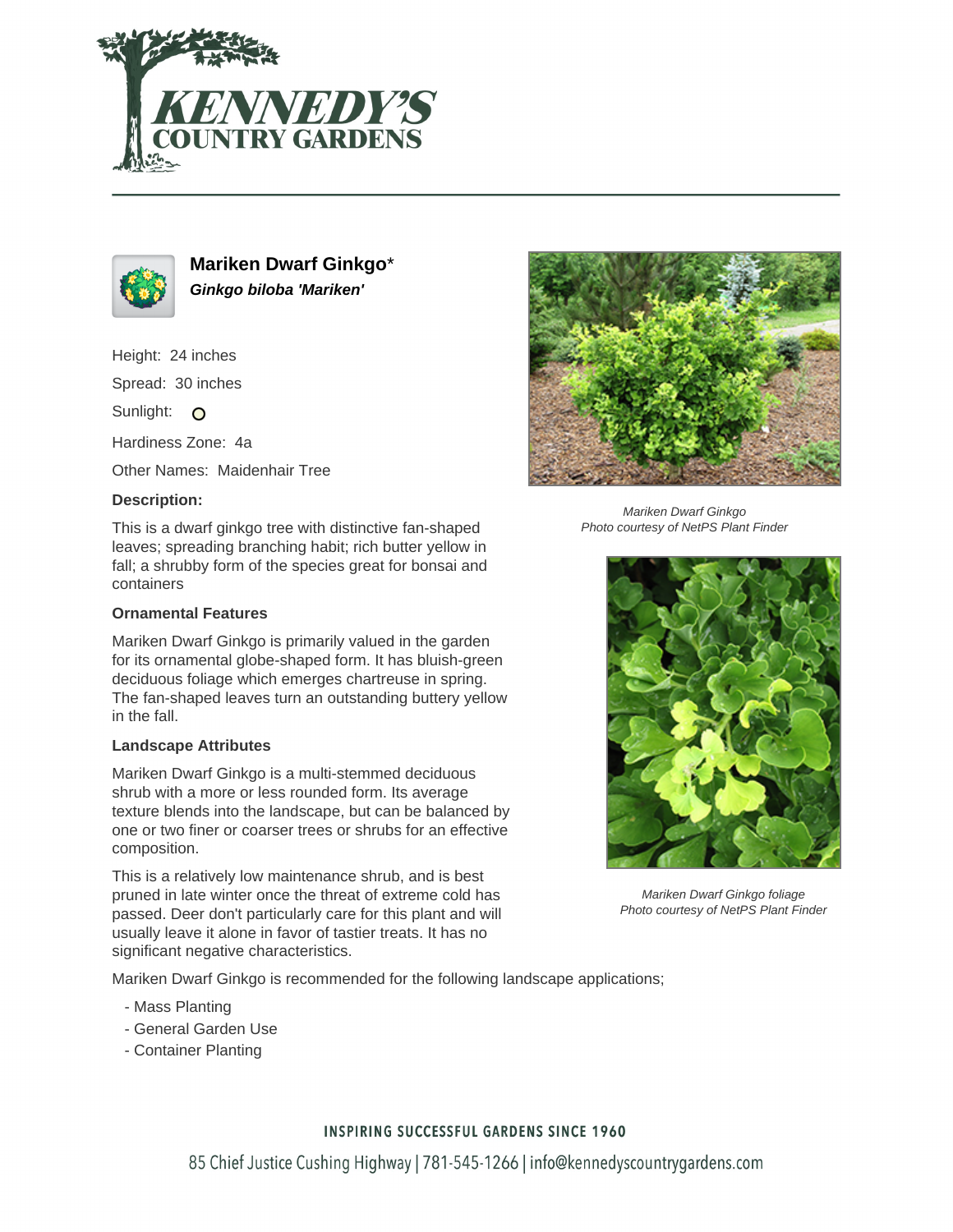



**Mariken Dwarf Ginkgo**\* **Ginkgo biloba 'Mariken'**

Height: 24 inches

Spread: 30 inches

Sunlight: O

Hardiness Zone: 4a

Other Names: Maidenhair Tree

## **Description:**

This is a dwarf ginkgo tree with distinctive fan-shaped leaves; spreading branching habit; rich butter yellow in fall; a shrubby form of the species great for bonsai and containers

## **Ornamental Features**

Mariken Dwarf Ginkgo is primarily valued in the garden for its ornamental globe-shaped form. It has bluish-green deciduous foliage which emerges chartreuse in spring. The fan-shaped leaves turn an outstanding buttery yellow in the fall.

#### **Landscape Attributes**

Mariken Dwarf Ginkgo is a multi-stemmed deciduous shrub with a more or less rounded form. Its average texture blends into the landscape, but can be balanced by one or two finer or coarser trees or shrubs for an effective composition.

This is a relatively low maintenance shrub, and is best pruned in late winter once the threat of extreme cold has passed. Deer don't particularly care for this plant and will usually leave it alone in favor of tastier treats. It has no significant negative characteristics.

Mariken Dwarf Ginkgo is recommended for the following landscape applications;

- Mass Planting
- General Garden Use
- Container Planting



Mariken Dwarf Ginkgo Photo courtesy of NetPS Plant Finder



Mariken Dwarf Ginkgo foliage Photo courtesy of NetPS Plant Finder

## **INSPIRING SUCCESSFUL GARDENS SINCE 1960**

85 Chief Justice Cushing Highway | 781-545-1266 | info@kennedyscountrygardens.com